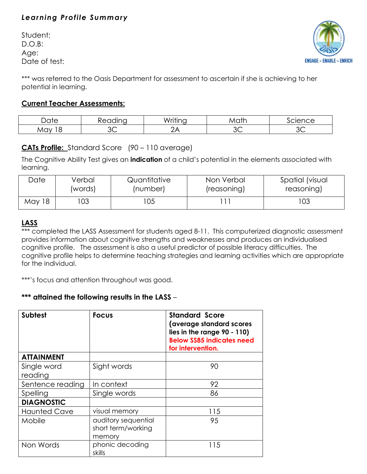# *Learning Profile Summary*

Student: D.O.B: Age: Date of test:



\*\*\* was referred to the Oasis Department for assessment to ascertain if she is achieving to her potential in learning.

### **Current Teacher Assessments:**

| Jate<br>۔ ب | <br>$\sim$<br>◡ | .<br>.<br>M<br>∼ | atr<br>$\mathcal{N}$ | $  -$<br>エヒヒ |
|-------------|-----------------|------------------|----------------------|--------------|
| May         | ╭<br>ン〜         |                  | ~~<br>ےں             |              |

## **CATs Profile:** Standard Score (90 – 110 average)

The Cognitive Ability Test gives an **indication** of a child's potential in the elements associated with learning.

| Date   | Verbal  | Quantitative | Non Verbal  | Spatial (visual |
|--------|---------|--------------|-------------|-----------------|
|        | (words) | (number)     | (reasoning) | reasoning)      |
| May 18 | 03      | 105          |             | 103             |

## **LASS**

\*\*\* completed the LASS Assessment for students aged 8-11. This computerized diagnostic assessment provides information about cognitive strengths and weaknesses and produces an individualised cognitive profile. The assessment is also a useful predictor of possible literacy difficulties. The cognitive profile helps to determine teaching strategies and learning activities which are appropriate for the individual.

\*\*\*'s focus and attention throughout was good.

### **\*\*\* attained the following results in the LASS** –

| <b>Subtest</b>      | <b>Focus</b>                                        | <b>Standard Score</b><br>(average standard scores<br>lies in the range 90 - 110)<br><b>Below SS85 indicates need</b><br>for intervention. |
|---------------------|-----------------------------------------------------|-------------------------------------------------------------------------------------------------------------------------------------------|
| <b>ATTAINMENT</b>   |                                                     |                                                                                                                                           |
| Single word         | Sight words                                         | 90                                                                                                                                        |
| reading             |                                                     |                                                                                                                                           |
| Sentence reading    | In context                                          | 92                                                                                                                                        |
| Spelling            | Single words                                        | 86                                                                                                                                        |
| <b>DIAGNOSTIC</b>   |                                                     |                                                                                                                                           |
| <b>Haunted Cave</b> | visual memory                                       | 115                                                                                                                                       |
| Mobile              | auditory sequential<br>short term/working<br>memory | 95                                                                                                                                        |
| Non Words           | phonic decoding<br>skills                           | 115                                                                                                                                       |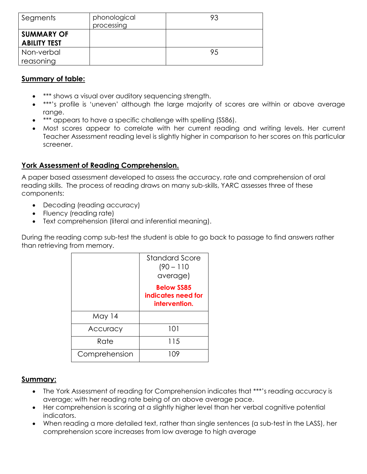| Segments                                 | phonological<br>processing | 93 |
|------------------------------------------|----------------------------|----|
| <b>SUMMARY OF</b><br><b>ABILITY TEST</b> |                            |    |
| Non-verbal                               |                            | 95 |
| reasoning                                |                            |    |

#### **Summary of table:**

- \*\*\* shows a visual over auditory sequencing strength.
- \*\*\*'s profile is 'uneven' although the large majority of scores are within or above average range.
- \*\*\* appears to have a specific challenge with spelling (SS86).
- Most scores appear to correlate with her current reading and writing levels. Her current Teacher Assessment reading level is slightly higher in comparison to her scores on this particular screener.

### **York Assessment of Reading Comprehension.**

A paper based assessment developed to assess the accuracy, rate and comprehension of oral reading skills. The process of reading draws on many sub-skills, YARC assesses three of these components:

- Decoding (reading accuracy)
- Fluency (reading rate)
- Text comprehension (literal and inferential meaning).

During the reading comp sub-test the student is able to go back to passage to find answers rather than retrieving from memory.

|               | <b>Standard Score</b><br>$(90 - 110)$<br>average)        |
|---------------|----------------------------------------------------------|
|               | <b>Below SS85</b><br>indicates need for<br>intervention. |
| May 14        |                                                          |
| Accuracy      | 101                                                      |
| Rate          | 115                                                      |
| Comprehension | 1 ( ) Y                                                  |

#### **Summary:**

- The York Assessment of reading for Comprehension indicates that \*\*\*'s reading accuracy is average; with her reading rate being of an above average pace.
- Her comprehension is scoring at a slightly higher level than her verbal cognitive potential indicators.
- When reading a more detailed text, rather than single sentences (a sub-test in the LASS), her comprehension score increases from low average to high average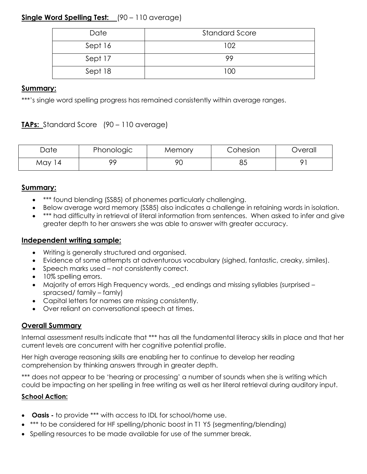## **Single Word Spelling Test:** (90 – 110 average)

| Date    | <b>Standard Score</b> |
|---------|-----------------------|
| Sept 16 | 102                   |
| Sept 17 | 99                    |
| Sept 18 | 100                   |

### **Summary:**

\*\*\*'s single word spelling progress has remained consistently within average ranges.

## **TAPs:** Standard Score (90 – 110 average)

| Date       | Phonologic | Memory    | Cohesion | Overall |
|------------|------------|-----------|----------|---------|
| May<br>l 4 | oс         | or<br>' U | ו כ<br>ാ |         |

#### **Summary:**

- \*\*\* found blending (SS85) of phonemes particularly challenging.
- Below average word memory (SS85) also indicates a challenge in retaining words in isolation.
- \*\*\* had difficulty in retrieval of literal information from sentences. When asked to infer and give greater depth to her answers she was able to answer with greater accuracy.

#### **Independent writing sample:**

- Writing is generally structured and organised.
- Evidence of some attempts at adventurous vocabulary (sighed, fantastic, creaky, similes).
- Speech marks used not consistently correct.
- 10% spelling errors.
- Majority of errors High Frequency words, \_ed endings and missing syllables (surprised spracsed/ family – famly)
- Capital letters for names are missing consistently.
- Over reliant on conversational speech at times.

### **Overall Summary**

Internal assessment results indicate that \*\*\* has all the fundamental literacy skills in place and that her current levels are concurrent with her cognitive potential profile.

Her high average reasoning skills are enabling her to continue to develop her reading comprehension by thinking answers through in greater depth.

\*\*\* does not appear to be 'hearing or processing' a number of sounds when she is writing which could be impacting on her spelling in free writing as well as her literal retrieval during auditory input.

#### **School Action:**

- **Oasis -** to provide \*\*\* with access to IDL for school/home use.
- \*\*\* to be considered for HF spelling/phonic boost in T1 Y5 (segmenting/blending)
- Spelling resources to be made available for use of the summer break.